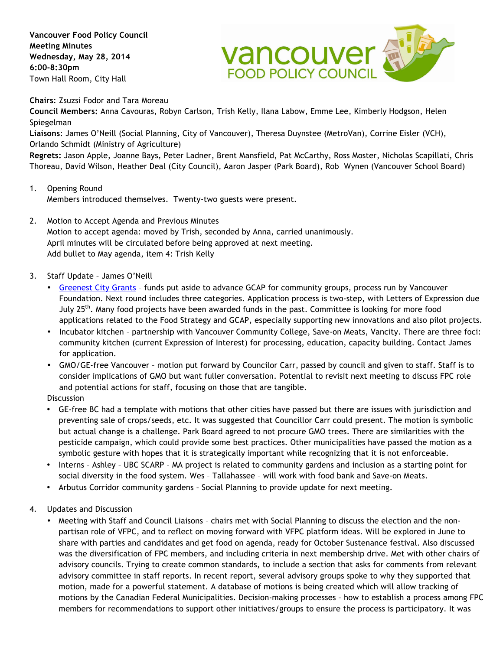**Vancouver Food Policy Council Meeting Minutes Wednesday, May 28, 2014 6:00-8:30pm** Town Hall Room, City Hall



**Chairs**: Zsuzsi Fodor and Tara Moreau

**Council Members:** Anna Cavouras, Robyn Carlson, Trish Kelly, Ilana Labow, Emme Lee, Kimberly Hodgson, Helen Spiegelman

**Liaisons**: James O'Neill (Social Planning, City of Vancouver), Theresa Duynstee (MetroVan), Corrine Eisler (VCH), Orlando Schmidt (Ministry of Agriculture)

**Regrets:** Jason Apple, Joanne Bays, Peter Ladner, Brent Mansfield, Pat McCarthy, Ross Moster, Nicholas Scapillati, Chris Thoreau, David Wilson, Heather Deal (City Council), Aaron Jasper (Park Board), Rob Wynen (Vancouver School Board)

- 1. Opening Round Members introduced themselves. Twenty-two guests were present.
- 2. Motion to Accept Agenda and Previous Minutes Motion to accept agenda: moved by Trish, seconded by Anna, carried unanimously. April minutes will be circulated before being approved at next meeting. Add bullet to May agenda, item 4: Trish Kelly
- 3. Staff Update James O'Neill
	- Greenest City Grants funds put aside to advance GCAP for community groups, process run by Vancouver Foundation. Next round includes three categories. Application process is two-step, with Letters of Expression due July 25<sup>th</sup>. Many food projects have been awarded funds in the past. Committee is looking for more food applications related to the Food Strategy and GCAP, especially supporting new innovations and also pilot projects.
	- Incubator kitchen partnership with Vancouver Community College, Save-on Meats, Vancity. There are three foci: community kitchen (current Expression of Interest) for processing, education, capacity building. Contact James for application.
	- GMO/GE-free Vancouver motion put forward by Councilor Carr, passed by council and given to staff. Staff is to consider implications of GMO but want fuller conversation. Potential to revisit next meeting to discuss FPC role and potential actions for staff, focusing on those that are tangible.

**Discussion** 

- GE-free BC had a template with motions that other cities have passed but there are issues with jurisdiction and preventing sale of crops/seeds, etc. It was suggested that Councillor Carr could present. The motion is symbolic but actual change is a challenge. Park Board agreed to not procure GMO trees. There are similarities with the pesticide campaign, which could provide some best practices. Other municipalities have passed the motion as a symbolic gesture with hopes that it is strategically important while recognizing that it is not enforceable.
- Interns Ashley UBC SCARP MA project is related to community gardens and inclusion as a starting point for social diversity in the food system. Wes – Tallahassee – will work with food bank and Save-on Meats.
- Arbutus Corridor community gardens Social Planning to provide update for next meeting.
- 4. Updates and Discussion
	- Meeting with Staff and Council Liaisons chairs met with Social Planning to discuss the election and the nonpartisan role of VFPC, and to reflect on moving forward with VFPC platform ideas. Will be explored in June to share with parties and candidates and get food on agenda, ready for October Sustenance festival. Also discussed was the diversification of FPC members, and including criteria in next membership drive. Met with other chairs of advisory councils. Trying to create common standards, to include a section that asks for comments from relevant advisory committee in staff reports. In recent report, several advisory groups spoke to why they supported that motion, made for a powerful statement. A database of motions is being created which will allow tracking of motions by the Canadian Federal Municipalities. Decision-making processes – how to establish a process among FPC members for recommendations to support other initiatives/groups to ensure the process is participatory. It was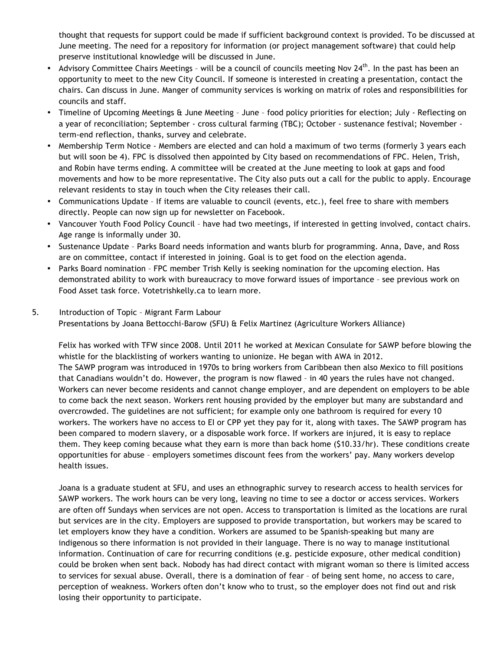thought that requests for support could be made if sufficient background context is provided. To be discussed at June meeting. The need for a repository for information (or project management software) that could help preserve institutional knowledge will be discussed in June.

- Advisory Committee Chairs Meetings will be a council of councils meeting Nov 24<sup>th</sup>. In the past has been an opportunity to meet to the new City Council. If someone is interested in creating a presentation, contact the chairs. Can discuss in June. Manger of community services is working on matrix of roles and responsibilities for councils and staff.
- Timeline of Upcoming Meetings & June Meeting June food policy priorities for election; July Reflecting on a year of reconciliation; September - cross cultural farming (TBC); October - sustenance festival; November term-end reflection, thanks, survey and celebrate.
- Membership Term Notice Members are elected and can hold a maximum of two terms (formerly 3 years each but will soon be 4). FPC is dissolved then appointed by City based on recommendations of FPC. Helen, Trish, and Robin have terms ending. A committee will be created at the June meeting to look at gaps and food movements and how to be more representative. The City also puts out a call for the public to apply. Encourage relevant residents to stay in touch when the City releases their call.
- Communications Update If items are valuable to council (events, etc.), feel free to share with members directly. People can now sign up for newsletter on Facebook.
- Vancouver Youth Food Policy Council have had two meetings, if interested in getting involved, contact chairs. Age range is informally under 30.
- Sustenance Update Parks Board needs information and wants blurb for programming. Anna, Dave, and Ross are on committee, contact if interested in joining. Goal is to get food on the election agenda.
- Parks Board nomination FPC member Trish Kelly is seeking nomination for the upcoming election. Has demonstrated ability to work with bureaucracy to move forward issues of importance – see previous work on Food Asset task force. Votetrishkelly.ca to learn more.

## 5. Introduction of Topic – Migrant Farm Labour Presentations by Joana Bettocchi-Barow (SFU) & Felix Martinez (Agriculture Workers Alliance)

Felix has worked with TFW since 2008. Until 2011 he worked at Mexican Consulate for SAWP before blowing the whistle for the blacklisting of workers wanting to unionize. He began with AWA in 2012. The SAWP program was introduced in 1970s to bring workers from Caribbean then also Mexico to fill positions that Canadians wouldn't do. However, the program is now flawed – in 40 years the rules have not changed. Workers can never become residents and cannot change employer, and are dependent on employers to be able to come back the next season. Workers rent housing provided by the employer but many are substandard and overcrowded. The guidelines are not sufficient; for example only one bathroom is required for every 10 workers. The workers have no access to EI or CPP yet they pay for it, along with taxes. The SAWP program has been compared to modern slavery, or a disposable work force. If workers are injured, it is easy to replace them. They keep coming because what they earn is more than back home (\$10.33/hr). These conditions create opportunities for abuse – employers sometimes discount fees from the workers' pay. Many workers develop health issues.

Joana is a graduate student at SFU, and uses an ethnographic survey to research access to health services for SAWP workers. The work hours can be very long, leaving no time to see a doctor or access services. Workers are often off Sundays when services are not open. Access to transportation is limited as the locations are rural but services are in the city. Employers are supposed to provide transportation, but workers may be scared to let employers know they have a condition. Workers are assumed to be Spanish-speaking but many are indigenous so there information is not provided in their language. There is no way to manage institutional information. Continuation of care for recurring conditions (e.g. pesticide exposure, other medical condition) could be broken when sent back. Nobody has had direct contact with migrant woman so there is limited access to services for sexual abuse. Overall, there is a domination of fear – of being sent home, no access to care, perception of weakness. Workers often don't know who to trust, so the employer does not find out and risk losing their opportunity to participate.